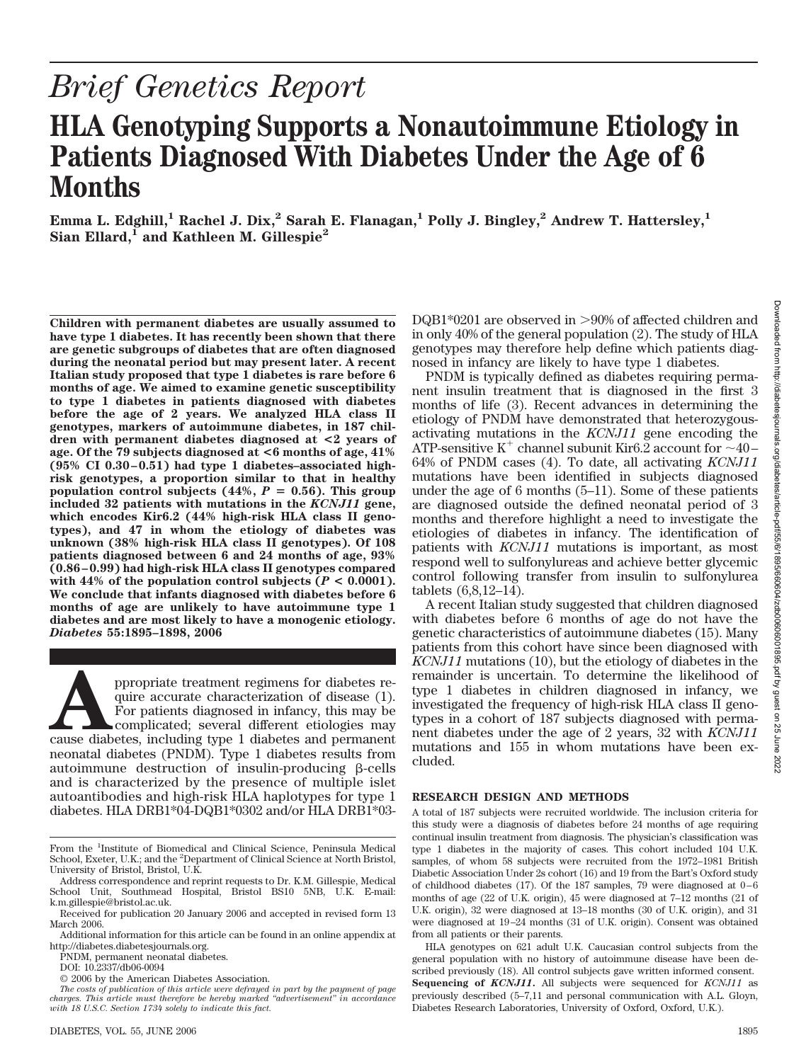# *Brief Genetics Report*

# **HLA Genotyping Supports a Nonautoimmune Etiology in Patients Diagnosed With Diabetes Under the Age of 6 Months**

**Emma L. Edghill,<sup>1</sup> Rachel J. Dix,<sup>2</sup> Sarah E. Flanagan,<sup>1</sup> Polly J. Bingley,<sup>2</sup> Andrew T. Hattersley,<sup>1</sup>** Sian Ellard,<sup>1</sup> and Kathleen M. Gillespie<sup>2</sup>

**Children with permanent diabetes are usually assumed to have type 1 diabetes. It has recently been shown that there are genetic subgroups of diabetes that are often diagnosed during the neonatal period but may present later. A recent Italian study proposed that type 1 diabetes is rare before 6 months of age. We aimed to examine genetic susceptibility to type 1 diabetes in patients diagnosed with diabetes before the age of 2 years. We analyzed HLA class II genotypes, markers of autoimmune diabetes, in 187 children with permanent diabetes diagnosed at <2 years of age. Of the 79 subjects diagnosed at <6 months of age, 41% (95% CI 0.30 – 0.51) had type 1 diabetes–associated highrisk genotypes, a proportion similar to that in healthy population control subjects (44%,**  $P = 0.56$ **). This group included 32 patients with mutations in the** *KCNJ11* **gene, which encodes Kir6.2 (44% high-risk HLA class II genotypes), and 47 in whom the etiology of diabetes was unknown (38% high-risk HLA class II genotypes). Of 108 patients diagnosed between 6 and 24 months of age, 93% (0.86 – 0.99) had high-risk HLA class II genotypes compared** with 44% of the population control subjects  $(P < 0.0001)$ . **We conclude that infants diagnosed with diabetes before 6 months of age are unlikely to have autoimmune type 1 diabetes and are most likely to have a monogenic etiology.** *Diabetes* **55:1895–1898, 2006**

ppropriate treatment regimens for diabetes require accurate characterization of disease (1).<br>
For patients diagnosed in infancy, this may be complicated; several different etiologies may<br>
cause diabetes, including type 1 d quire accurate characterization of disease (1). For patients diagnosed in infancy, this may be complicated; several different etiologies may neonatal diabetes (PNDM). Type 1 diabetes results from autoimmune destruction of insulin-producing  $\beta$ -cells and is characterized by the presence of multiple islet autoantibodies and high-risk HLA haplotypes for type 1 diabetes. HLA DRB1\*04-DQB1\*0302 and/or HLA DRB1\*03-

PNDM, permanent neonatal diabetes.

DOI: 10.2337/db06-0094

© 2006 by the American Diabetes Association.

DQB1\*0201 are observed in >90% of affected children and in only 40% of the general population (2). The study of HLA genotypes may therefore help define which patients diagnosed in infancy are likely to have type 1 diabetes.

PNDM is typically defined as diabetes requiring permanent insulin treatment that is diagnosed in the first 3 months of life (3). Recent advances in determining the etiology of PNDM have demonstrated that heterozygousactivating mutations in the *KCNJ11* gene encoding the ATP-sensitive K<sup>+</sup> channel subunit Kir6.2 account for  $\sim$ 40– 64% of PNDM cases (4). To date, all activating *KCNJ11* mutations have been identified in subjects diagnosed under the age of 6 months (5–11). Some of these patients are diagnosed outside the defined neonatal period of 3 months and therefore highlight a need to investigate the etiologies of diabetes in infancy. The identification of patients with *KCNJ11* mutations is important, as most respond well to sulfonylureas and achieve better glycemic control following transfer from insulin to sulfonylurea tablets (6,8,12–14).

A recent Italian study suggested that children diagnosed with diabetes before 6 months of age do not have the genetic characteristics of autoimmune diabetes (15). Many patients from this cohort have since been diagnosed with *KCNJ11* mutations (10), but the etiology of diabetes in the remainder is uncertain. To determine the likelihood of type 1 diabetes in children diagnosed in infancy, we investigated the frequency of high-risk HLA class II genotypes in a cohort of 187 subjects diagnosed with permanent diabetes under the age of 2 years, 32 with *KCNJ11* mutations and 155 in whom mutations have been excluded.

### **RESEARCH DESIGN AND METHODS**

A total of 187 subjects were recruited worldwide. The inclusion criteria for this study were a diagnosis of diabetes before 24 months of age requiring continual insulin treatment from diagnosis. The physician's classification was type 1 diabetes in the majority of cases. This cohort included 104 U.K. samples, of whom 58 subjects were recruited from the 1972–1981 British Diabetic Association Under 2s cohort (16) and 19 from the Bart's Oxford study of childhood diabetes (17). Of the 187 samples, 79 were diagnosed at  $0-\overline{6}$ months of age (22 of U.K. origin), 45 were diagnosed at 7–12 months (21 of U.K. origin), 32 were diagnosed at 13–18 months (30 of U.K. origin), and 31 were diagnosed at 19 –24 months (31 of U.K. origin). Consent was obtained from all patients or their parents.

From the <sup>1</sup>Institute of Biomedical and Clinical Science, Peninsula Medical School, Exeter, U.K.; and the <sup>2</sup>Department of Clinical Science at North Bristol, University of Bristol, Bristol, U.K.

Address correspondence and reprint requests to Dr. K.M. Gillespie, Medical School Unit, Southmead Hospital, Bristol BS10 5NB, U.K. E-mail: k.m.gillespie@bristol.ac.uk.

Received for publication 20 January 2006 and accepted in revised form 13 March 2006.

Additional information for this article can be found in an online appendix at http://diabetes.diabetesjournals.org.

*The costs of publication of this article were defrayed in part by the payment of page charges. This article must therefore be hereby marked "advertisement" in accordance with 18 U.S.C. Section 1734 solely to indicate this fact.*

HLA genotypes on 621 adult U.K. Caucasian control subjects from the general population with no history of autoimmune disease have been described previously (18). All control subjects gave written informed consent. **Sequencing of** *KCNJ11***.** All subjects were sequenced for *KCNJ11* as previously described (5–7,11 and personal communication with A.L. Gloyn, Diabetes Research Laboratories, University of Oxford, Oxford, U.K.).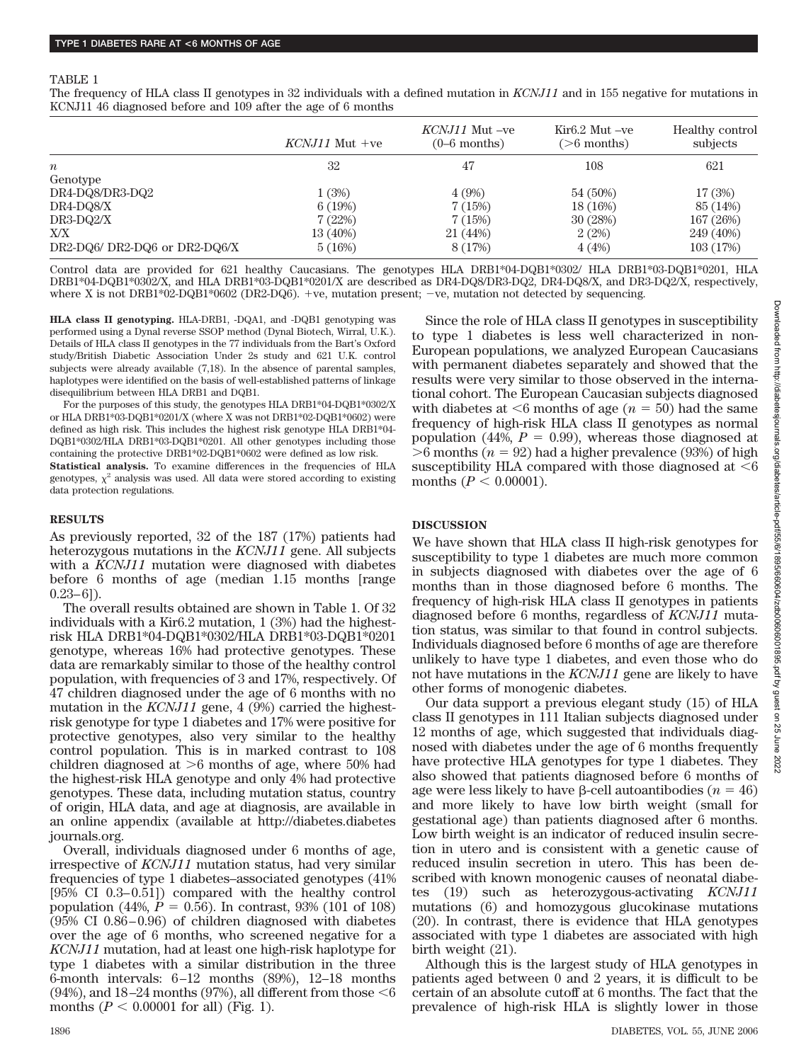#### TABLE 1

The frequency of HLA class II genotypes in 32 individuals with a defined mutation in *KCNJ11* and in 155 negative for mutations in KCNJ11 46 diagnosed before and 109 after the age of 6 months

|                               | $KCNJ11$ Mut +ve | KCNJ11 Mut -ve<br>$(0-6$ months) | $Kir6.2$ Mut $-ve$<br>$($ >6 months) | Healthy control<br>subjects |
|-------------------------------|------------------|----------------------------------|--------------------------------------|-----------------------------|
| $\boldsymbol{n}$              | 32               | 47                               | 108                                  | 621                         |
| Genotype                      |                  |                                  |                                      |                             |
| DR4-DQ8/DR3-DQ2               | 1(3%)            | 4(9%)                            | 54 (50%)                             | 17(3%)                      |
| DR4-DQ8/X                     | 6(19%)           | 7(15%)                           | 18 (16%)                             | 85 (14%)                    |
| $DR3-DQ2/X$                   | 7(22%)           | 7(15%)                           | 30 (28%)                             | 167 (26%)                   |
| X/X                           | 13 (40%)         | 21 (44%)                         | 2(2%)                                | 249 (40%)                   |
| DR2-DQ6/ DR2-DQ6 or DR2-DQ6/X | 5(16%)           | 8(17%)                           | 4(4%)                                | 103(17%)                    |

Control data are provided for 621 healthy Caucasians. The genotypes HLA DRB1\*04-DQB1\*0302/ HLA DRB1\*03-DQB1\*0201, HLA DRB1\*04-DQB1\*0302/X, and HLA DRB1\*03-DQB1\*0201/X are described as DR4-DQ8/DR3-DQ2, DR4-DQ8/X, and DR3-DQ2/X, respectively, where X is not DRB1\*02-DQB1\*0602 (DR2-DQ6). +ve, mutation present;  $-ve$ , mutation not detected by sequencing.

**HLA class II genotyping.** HLA-DRB1, -DQA1, and -DQB1 genotyping was performed using a Dynal reverse SSOP method (Dynal Biotech, Wirral, U.K.). Details of HLA class II genotypes in the 77 individuals from the Bart's Oxford study/British Diabetic Association Under 2s study and 621 U.K. control subjects were already available (7,18). In the absence of parental samples, haplotypes were identified on the basis of well-established patterns of linkage disequilibrium between HLA DRB1 and DQB1.

For the purposes of this study, the genotypes HLA DRB1\*04-DQB1\*0302/X or HLA DRB1\*03-DQB1\*0201/X (where X was not DRB1\*02-DQB1\*0602) were defined as high risk. This includes the highest risk genotype HLA DRB1\*04- DQB1\*0302/HLA DRB1\*03-DQB1\*0201. All other genotypes including those containing the protective DRB1\*02-DQB1\*0602 were defined as low risk.

**Statistical analysis.** To examine differences in the frequencies of HLA genotypes,  $\chi^2$  analysis was used. All data were stored according to existing data protection regulations.

#### **RESULTS**

As previously reported, 32 of the 187 (17%) patients had heterozygous mutations in the *KCNJ11* gene. All subjects with a *KCNJ11* mutation were diagnosed with diabetes before 6 months of age (median 1.15 months [range  $(0.23-6)$ .

The overall results obtained are shown in Table 1. Of 32 individuals with a Kir6.2 mutation, 1 (3%) had the highestrisk HLA DRB1\*04-DQB1\*0302/HLA DRB1\*03-DQB1\*0201 genotype, whereas 16% had protective genotypes. These data are remarkably similar to those of the healthy control population, with frequencies of 3 and 17%, respectively. Of 47 children diagnosed under the age of 6 months with no mutation in the *KCNJ11* gene, 4 (9%) carried the highestrisk genotype for type 1 diabetes and 17% were positive for protective genotypes, also very similar to the healthy control population. This is in marked contrast to 108 children diagnosed at  $>6$  months of age, where 50% had the highest-risk HLA genotype and only 4% had protective genotypes. These data, including mutation status, country of origin, HLA data, and age at diagnosis, are available in an online appendix (available at http://diabetes.diabetes journals.org.

Overall, individuals diagnosed under 6 months of age, irrespective of *KCNJ11* mutation status, had very similar frequencies of type 1 diabetes–associated genotypes (41% [95% CI 0.3– 0.51]) compared with the healthy control population (44%,  $P = 0.56$ ). In contrast, 93% (101 of 108)  $(95\% \text{ CI } 0.86 - 0.96)$  of children diagnosed with diabetes over the age of 6 months, who screened negative for a *KCNJ11* mutation, had at least one high-risk haplotype for type 1 diabetes with a similar distribution in the three 6-month intervals:  $6-12$  months  $(89\%)$ ,  $12-18$  months (94%), and 18–24 months (97%), all different from those  $<6$ months ( $P < 0.00001$  for all) (Fig. 1).

Since the role of HLA class II genotypes in susceptibility to type 1 diabetes is less well characterized in non-European populations, we analyzed European Caucasians with permanent diabetes separately and showed that the results were very similar to those observed in the international cohort. The European Caucasian subjects diagnosed with diabetes at  $6$  months of age ( $n = 50$ ) had the same frequency of high-risk HLA class II genotypes as normal population (44%,  $P = 0.99$ ), whereas those diagnosed at  $>6$  months ( $n = 92$ ) had a higher prevalence (93%) of high susceptibility HLA compared with those diagnosed at  $\leq 6$ months ( $P < 0.00001$ ).

# **DISCUSSION**

We have shown that HLA class II high-risk genotypes for susceptibility to type 1 diabetes are much more common in subjects diagnosed with diabetes over the age of 6 months than in those diagnosed before 6 months. The frequency of high-risk HLA class II genotypes in patients diagnosed before 6 months, regardless of *KCNJ11* mutation status, was similar to that found in control subjects. Individuals diagnosed before 6 months of age are therefore unlikely to have type 1 diabetes, and even those who do not have mutations in the *KCNJ11* gene are likely to have other forms of monogenic diabetes.

Our data support a previous elegant study (15) of HLA class II genotypes in 111 Italian subjects diagnosed under 12 months of age, which suggested that individuals diagnosed with diabetes under the age of 6 months frequently have protective HLA genotypes for type 1 diabetes. They also showed that patients diagnosed before 6 months of age were less likely to have  $\beta$ -cell autoantibodies ( $n = 46$ ) and more likely to have low birth weight (small for gestational age) than patients diagnosed after 6 months. Low birth weight is an indicator of reduced insulin secretion in utero and is consistent with a genetic cause of reduced insulin secretion in utero. This has been described with known monogenic causes of neonatal diabetes (19) such as heterozygous-activating *KCNJ11* mutations (6) and homozygous glucokinase mutations (20). In contrast, there is evidence that HLA genotypes associated with type 1 diabetes are associated with high birth weight (21).

Although this is the largest study of HLA genotypes in patients aged between 0 and 2 years, it is difficult to be certain of an absolute cutoff at 6 months. The fact that the prevalence of high-risk HLA is slightly lower in those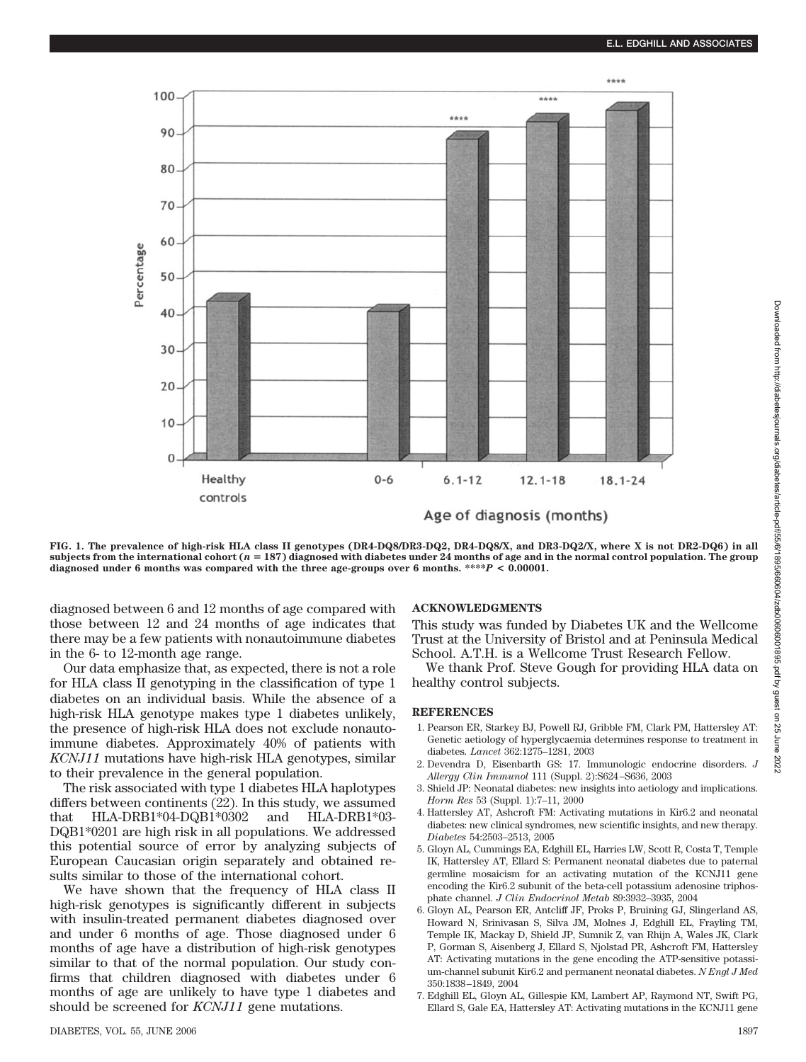

**FIG. 1. The prevalence of high-risk HLA class II genotypes (DR4-DQ8/DR3-DQ2, DR4-DQ8/X, and DR3-DQ2/X, where X is not DR2-DQ6) in all subjects from the international cohort (***n* **187) diagnosed with diabetes under 24 months of age and in the normal control population. The group diagnosed under 6 months was compared with the three age-groups over 6 months. \*\*\*\****P* **< 0.00001.**

diagnosed between 6 and 12 months of age compared with those between 12 and 24 months of age indicates that there may be a few patients with nonautoimmune diabetes in the 6- to 12-month age range.

Our data emphasize that, as expected, there is not a role for HLA class II genotyping in the classification of type 1 diabetes on an individual basis. While the absence of a high-risk HLA genotype makes type 1 diabetes unlikely, the presence of high-risk HLA does not exclude nonautoimmune diabetes. Approximately 40% of patients with *KCNJ11* mutations have high-risk HLA genotypes, similar to their prevalence in the general population.

The risk associated with type 1 diabetes HLA haplotypes differs between continents (22). In this study, we assumed that HLA-DRB1\*04-DQB1\*0302 and HLA-DRB1\*03- DQB1\*0201 are high risk in all populations. We addressed this potential source of error by analyzing subjects of European Caucasian origin separately and obtained results similar to those of the international cohort.

We have shown that the frequency of HLA class II high-risk genotypes is significantly different in subjects with insulin-treated permanent diabetes diagnosed over and under 6 months of age. Those diagnosed under 6 months of age have a distribution of high-risk genotypes similar to that of the normal population. Our study confirms that children diagnosed with diabetes under 6 months of age are unlikely to have type 1 diabetes and should be screened for *KCNJ11* gene mutations.

# **ACKNOWLEDGMENTS**

This study was funded by Diabetes UK and the Wellcome Trust at the University of Bristol and at Peninsula Medical School. A.T.H. is a Wellcome Trust Research Fellow.

We thank Prof. Steve Gough for providing HLA data on healthy control subjects.

# **REFERENCES**

- 1. Pearson ER, Starkey BJ, Powell RJ, Gribble FM, Clark PM, Hattersley AT: Genetic aetiology of hyperglycaemia determines response to treatment in diabetes. *Lancet* 362:1275–1281, 2003
- 2. Devendra D, Eisenbarth GS: 17. Immunologic endocrine disorders. *J Allergy Clin Immunol* 111 (Suppl. 2):S624 –S636, 2003
- 3. Shield JP: Neonatal diabetes: new insights into aetiology and implications. *Horm Res* 53 (Suppl. 1):7–11, 2000
- 4. Hattersley AT, Ashcroft FM: Activating mutations in Kir6.2 and neonatal diabetes: new clinical syndromes, new scientific insights, and new therapy. *Diabetes* 54:2503–2513, 2005
- 5. Gloyn AL, Cummings EA, Edghill EL, Harries LW, Scott R, Costa T, Temple IK, Hattersley AT, Ellard S: Permanent neonatal diabetes due to paternal germline mosaicism for an activating mutation of the KCNJ11 gene encoding the Kir6.2 subunit of the beta-cell potassium adenosine triphosphate channel. *J Clin Endocrinol Metab* 89:3932–3935, 2004
- 6. Gloyn AL, Pearson ER, Antcliff JF, Proks P, Bruining GJ, Slingerland AS, Howard N, Srinivasan S, Silva JM, Molnes J, Edghill EL, Frayling TM, Temple IK, Mackay D, Shield JP, Sumnik Z, van Rhijn A, Wales JK, Clark P, Gorman S, Aisenberg J, Ellard S, Njolstad PR, Ashcroft FM, Hattersley AT: Activating mutations in the gene encoding the ATP-sensitive potassium-channel subunit Kir6.2 and permanent neonatal diabetes. *N Engl J Med* 350:1838 –1849, 2004
- 7. Edghill EL, Gloyn AL, Gillespie KM, Lambert AP, Raymond NT, Swift PG, Ellard S, Gale EA, Hattersley AT: Activating mutations in the KCNJ11 gene